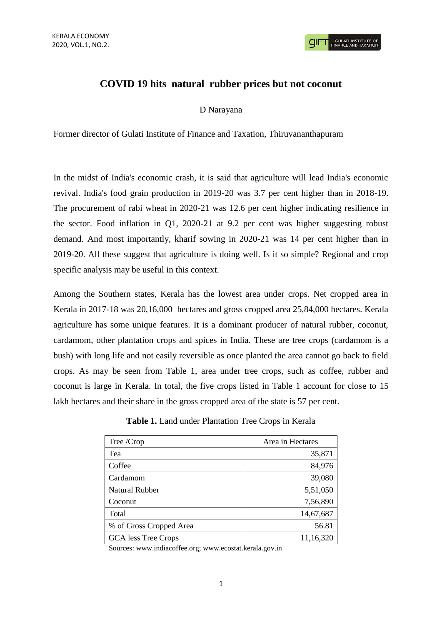## **COVID 19 hits natural rubber prices but not coconut**

D Narayana

Former director of Gulati Institute of Finance and Taxation, Thiruvananthapuram

In the midst of India's economic crash, it is said that agriculture will lead India's economic revival. India's food grain production in 2019-20 was 3.7 per cent higher than in 2018-19. The procurement of rabi wheat in 2020-21 was 12.6 per cent higher indicating resilience in the sector. Food inflation in Q1, 2020-21 at 9.2 per cent was higher suggesting robust demand. And most importantly, kharif sowing in 2020-21 was 14 per cent higher than in 2019-20. All these suggest that agriculture is doing well. Is it so simple? Regional and crop specific analysis may be useful in this context.

Among the Southern states, Kerala has the lowest area under crops. Net cropped area in Kerala in 2017-18 was 20,16,000 hectares and gross cropped area 25,84,000 hectares. Kerala agriculture has some unique features. It is a dominant producer of natural rubber, coconut, cardamom, other plantation crops and spices in India. These are tree crops (cardamom is a bush) with long life and not easily reversible as once planted the area cannot go back to field crops. As may be seen from Table 1, area under tree crops, such as coffee, rubber and coconut is large in Kerala. In total, the five crops listed in Table 1 account for close to 15 lakh hectares and their share in the gross cropped area of the state is 57 per cent.

| <b>Table 1.</b> Land under Plantation Tree Crops in Kerala |  |
|------------------------------------------------------------|--|
|------------------------------------------------------------|--|

| Tree /Crop              | Area in Hectares |
|-------------------------|------------------|
| Tea                     | 35,871           |
| Coffee                  | 84,976           |
| Cardamom                | 39,080           |
| <b>Natural Rubber</b>   | 5,51,050         |
| Coconut                 | 7,56,890         |
| Total                   | 14,67,687        |
| % of Gross Cropped Area | 56.81            |
| GCA less Tree Crops     | 11,16,320        |

Sources: www.indiacoffee.org; www.ecostat.kerala.gov.in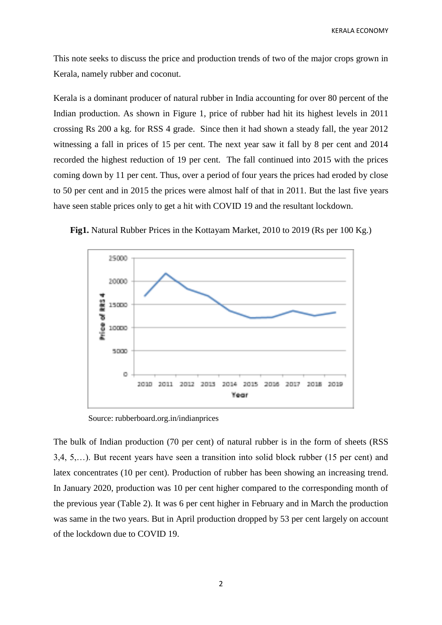This note seeks to discuss the price and production trends of two of the major crops grown in Kerala, namely rubber and coconut.

Kerala is a dominant producer of natural rubber in India accounting for over 80 percent of the Indian production. As shown in Figure 1, price of rubber had hit its highest levels in 2011 crossing Rs 200 a kg. for RSS 4 grade. Since then it had shown a steady fall, the year 2012 witnessing a fall in prices of 15 per cent. The next year saw it fall by 8 per cent and 2014 recorded the highest reduction of 19 per cent. The fall continued into 2015 with the prices coming down by 11 per cent. Thus, over a period of four years the prices had eroded by close to 50 per cent and in 2015 the prices were almost half of that in 2011. But the last five years have seen stable prices only to get a hit with COVID 19 and the resultant lockdown.



**Fig1.** Natural Rubber Prices in the Kottayam Market, 2010 to 2019 (Rs per 100 Kg.)

Source: rubberboard.org.in/indianprices

The bulk of Indian production (70 per cent) of natural rubber is in the form of sheets (RSS 3,4, 5,…). But recent years have seen a transition into solid block rubber (15 per cent) and latex concentrates (10 per cent). Production of rubber has been showing an increasing trend. In January 2020, production was 10 per cent higher compared to the corresponding month of the previous year (Table 2). It was 6 per cent higher in February and in March the production was same in the two years. But in April production dropped by 53 per cent largely on account of the lockdown due to COVID 19.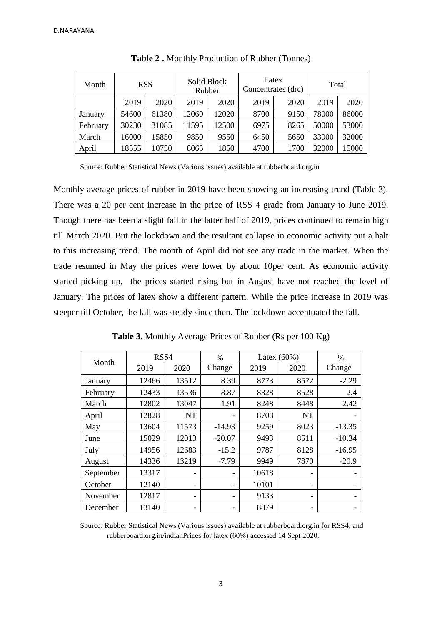| Month    | <b>RSS</b> |       | Solid Block<br>Rubber |       | Latex<br>Concentrates (drc) |      | Total |       |
|----------|------------|-------|-----------------------|-------|-----------------------------|------|-------|-------|
|          | 2019       | 2020  | 2019                  | 2020  | 2019                        | 2020 | 2019  | 2020  |
| January  | 54600      | 61380 | 12060                 | 12020 | 8700                        | 9150 | 78000 | 86000 |
| February | 30230      | 31085 | 11595                 | 12500 | 6975                        | 8265 | 50000 | 53000 |
| March    | 16000      | 15850 | 9850                  | 9550  | 6450                        | 5650 | 33000 | 32000 |
| April    | 18555      | 10750 | 8065                  | 1850  | 4700                        | 1700 | 32000 | 15000 |

| Table 2. Monthly Production of Rubber (Tonnes) |  |  |  |
|------------------------------------------------|--|--|--|
|------------------------------------------------|--|--|--|

Source: Rubber Statistical News (Various issues) available at rubberboard.org.in

Monthly average prices of rubber in 2019 have been showing an increasing trend (Table 3). There was a 20 per cent increase in the price of RSS 4 grade from January to June 2019. Though there has been a slight fall in the latter half of 2019, prices continued to remain high till March 2020. But the lockdown and the resultant collapse in economic activity put a halt to this increasing trend. The month of April did not see any trade in the market. When the trade resumed in May the prices were lower by about 10per cent. As economic activity started picking up, the prices started rising but in August have not reached the level of January. The prices of latex show a different pattern. While the price increase in 2019 was steeper till October, the fall was steady since then. The lockdown accentuated the fall.

|           | RSS4<br>Month |           | $\frac{0}{0}$ |       | Latex $(60\%)$           | $\frac{0}{0}$ |
|-----------|---------------|-----------|---------------|-------|--------------------------|---------------|
|           | 2019          | 2020      | Change        | 2019  | 2020                     | Change        |
| January   | 12466         | 13512     | 8.39          | 8773  | 8572                     | $-2.29$       |
| February  | 12433         | 13536     | 8.87          | 8328  | 8528                     | 2.4           |
| March     | 12802         | 13047     | 1.91          | 8248  | 8448                     | 2.42          |
| April     | 12828         | <b>NT</b> |               | 8708  | <b>NT</b>                |               |
| May       | 13604         | 11573     | $-14.93$      | 9259  | 8023                     | $-13.35$      |
| June      | 15029         | 12013     | $-20.07$      | 9493  | 8511                     | $-10.34$      |
| July      | 14956         | 12683     | $-15.2$       | 9787  | 8128                     | $-16.95$      |
| August    | 14336         | 13219     | $-7.79$       | 9949  | 7870                     | $-20.9$       |
| September | 13317         | -         |               | 10618 |                          |               |
| October   | 12140         | -         |               | 10101 | -                        |               |
| November  | 12817         | -         |               | 9133  | -                        |               |
| December  | 13140         | -         |               | 8879  | $\overline{\phantom{0}}$ |               |

**Table 3.** Monthly Average Prices of Rubber (Rs per 100 Kg)

Source: Rubber Statistical News (Various issues) available at rubberboard.org.in for RSS4; and rubberboard.org.in/indianPrices for latex (60%) accessed 14 Sept 2020.

## 3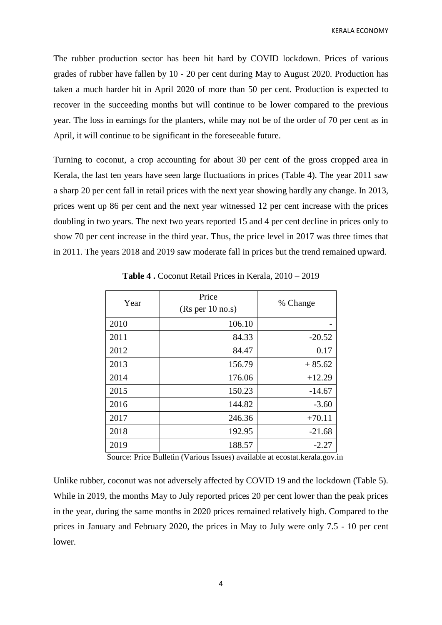The rubber production sector has been hit hard by COVID lockdown. Prices of various grades of rubber have fallen by 10 - 20 per cent during May to August 2020. Production has taken a much harder hit in April 2020 of more than 50 per cent. Production is expected to recover in the succeeding months but will continue to be lower compared to the previous year. The loss in earnings for the planters, while may not be of the order of 70 per cent as in April, it will continue to be significant in the foreseeable future.

Turning to coconut, a crop accounting for about 30 per cent of the gross cropped area in Kerala, the last ten years have seen large fluctuations in prices (Table 4). The year 2011 saw a sharp 20 per cent fall in retail prices with the next year showing hardly any change. In 2013, prices went up 86 per cent and the next year witnessed 12 per cent increase with the prices doubling in two years. The next two years reported 15 and 4 per cent decline in prices only to show 70 per cent increase in the third year. Thus, the price level in 2017 was three times that in 2011. The years 2018 and 2019 saw moderate fall in prices but the trend remained upward.

| Year | Price<br>(Rs per 10 no.s) | % Change |
|------|---------------------------|----------|
| 2010 | 106.10                    |          |
| 2011 | 84.33                     | $-20.52$ |
| 2012 | 84.47                     | 0.17     |
| 2013 | 156.79                    | $+85.62$ |
| 2014 | 176.06                    | $+12.29$ |
| 2015 | 150.23                    | $-14.67$ |
| 2016 | 144.82                    | $-3.60$  |
| 2017 | 246.36                    | $+70.11$ |
| 2018 | 192.95                    | $-21.68$ |
| 2019 | 188.57                    | $-2.27$  |

**Table 4 .** Coconut Retail Prices in Kerala, 2010 – 2019

Source: Price Bulletin (Various Issues) available at ecostat.kerala.gov.in

Unlike rubber, coconut was not adversely affected by COVID 19 and the lockdown (Table 5). While in 2019, the months May to July reported prices 20 per cent lower than the peak prices in the year, during the same months in 2020 prices remained relatively high. Compared to the prices in January and February 2020, the prices in May to July were only 7.5 - 10 per cent lower.

4